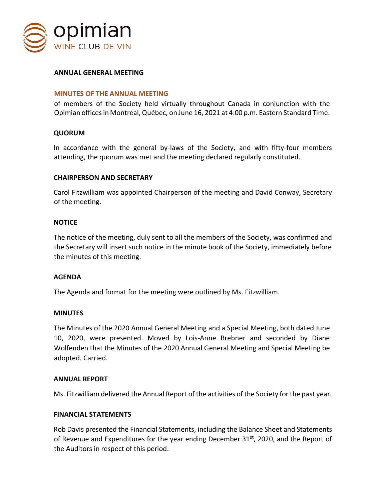

## **ANNUAL GENERAL MEETING**

## **MINUTES OF THE ANNUAL MEETING**

of members of the Society held virtually throughout Canada in conjunction with the Opimian offices in Montreal, Québec, on June 16, 2021 at 4:00 p.m. Eastern Standard Time.

## **QUORUM**

In accordance with the general by-laws of the Society, and with fifty-four members attending, the quorum was met and the meeting declared regularly constituted.

## **CHAIRPERSON AND SECRETARY**

Carol Fitzwilliam was appointed Chairperson of the meeting and David Conway, Secretary of the meeting.

## **NOTICE**

The notice of the meeting, duly sent to all the members of the Society, was confirmed and the Secretary will insert such notice in the minute book of the Society, immediately before the minutes of this meeting.

## **AGENDA**

The Agenda and format for the meeting were outlined by Ms. Fitzwilliam.

#### **MINUTES**

The Minutes of the 2020 Annual General Meeting and a Special Meeting, both dated June 10, 2020, were presented. Moved by Lois-Anne Brebner and seconded by Diane Wolfenden that the Minutes of the 2020 Annual General Meeting and Special Meeting be adopted. Carried.

## **ANNUAL REPORT**

Ms. Fitzwilliam delivered the Annual Report of the activities of the Society for the past year.

### **FINANCIAL STATEMENTS**

Rob Davis presented the Financial Statements, including the Balance Sheet and Statements of Revenue and Expenditures for the year ending December 31<sup>st</sup>, 2020, and the Report of the Auditors in respect of this period.